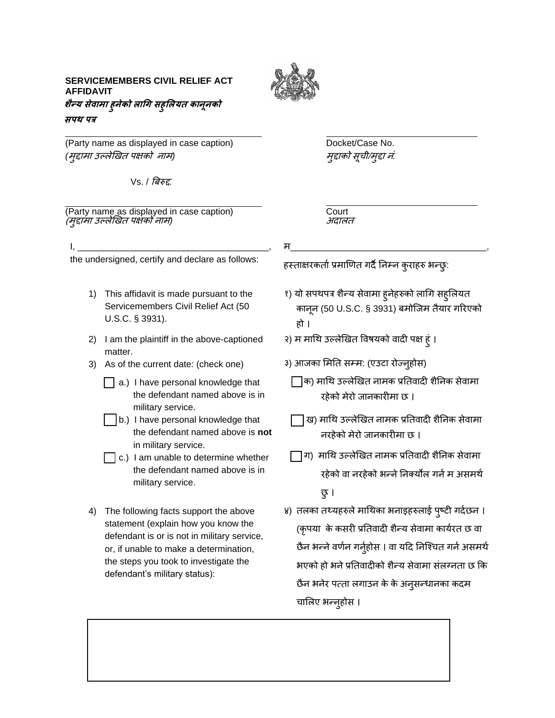## **SERVICEMEMBERS CIVIL RELIEF ACT AFFIDAVIT शैन्य सेवामा हुनेको लागि सहुललयत कानूनको सपथ पत्र**



(Party name as displayed in case caption) Docket/Case No. *(*मुद्दामा उल्लेखित पक्षकोनाम*)* मुद्दाको सूची/मुद्दा नं*.*

Vs. / बिरुद्द*.*

(Party name as displayed in case caption) Court<br>*(मद्दामा उल्लेखित पक्षको नाम*) (मुद्दामा उल्लेखित पक्षको नाम)

म\_\_\_\_\_\_\_\_\_\_\_\_\_\_\_\_\_\_\_\_\_\_\_\_\_\_\_\_\_\_\_\_\_\_\_\_\_\_\_,

हस्ताक्षरकर्ता प्रमाणित गर्दै निम्न कुराहरु भन्छु:

- १) यो सपथपत्र शैन्य सेवामा हुनेहरुको लागि सहुलियत कानून (50 U.S.C. § 3931) िमोजिम तैयार गररएको हो ।
	- २) म मागथ उल्लेखित ववषयको वादी पक्ष हुं ।
	- ३) आजका मिति सम्म: (एउटा रोज्न्होस)
		- $\Box$ क) माथि उल्लेखित नामक प्रतिवादी शैनिक सेवामा रहेको मेरो िानकारीमा छ ।
		- ि) मागथ उल्लेखित नामक प्रनतवादी शैननक सेवामा नरहेको मेरो िानकारीमा छ ।
	- ग) मागथ उल्लेखित नामक प्रनतवादी शैननक सेवामा रहेको वा नरहेको भन्ने निक्योंल गर्न म असमर्थ छु।
	- ४) तलका तथ्यहरुले माथिका भनाइहरुलाई पुष्टी गर्दछन । (कपया के कसरी प्रतिवादी शैन्य सेवामा कार्यरत छ वा छैन भन्ने वर्णन गर्नुहोस । वा यदि निश्चित गर्न असमर्थ भएको हो भने प्रतिवादीको शैन्य सेवामा संलग्नता छ कि छैन भनेर पत्ता लगाउन के के अनुसन्धानका कदम चाललए भन्नुहोस ।

1) This affidavit is made pursuant to the

I, \_\_\_\_\_\_\_\_\_\_\_\_\_\_\_\_\_\_\_\_\_\_\_\_\_\_\_\_\_\_\_\_\_\_\_\_\_\_, the undersigned, certify and declare as follows:

- Servicemembers Civil Relief Act (50 U.S.C. § 3931).
- 2) I am the plaintiff in the above-captioned matter.
- 3) As of the current date: (check one)
	- a.) I have personal knowledge that the defendant named above is in military service.
	- b.) I have personal knowledge that the defendant named above is **not**  in military service.
	- $\Box$  c.) I am unable to determine whether the defendant named above is in military service.
- 4) The following facts support the above statement (explain how you know the defendant is or is not in military service, or, if unable to make a determination, the steps you took to investigate the defendant's military status):